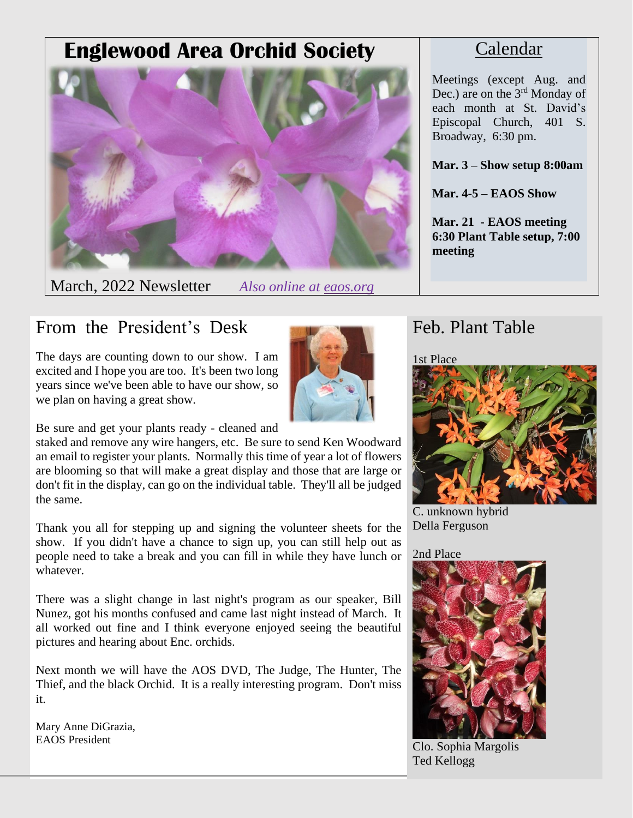# **Englewood Area Orchid Society**



March, 2022 Newsletter *Also online at eaos.org*

### Calendar

Meetings (except Aug. and Dec.) are on the 3<sup>rd</sup> Monday of each month at St. David's Episcopal Church, 401 S. Broadway, 6:30 pm.

**Mar. 3 – Show setup 8:00am**

**Mar. 4-5 – EAOS Show**

**Mar. 21 - EAOS meeting 6:30 Plant Table setup, 7:00 meeting**

### From the President's Desk

The days are counting down to our show. I am excited and I hope you are too. It's been two long years since we've been able to have our show, so we plan on having a great show.



Be sure and get your plants ready - cleaned and

staked and remove any wire hangers, etc. Be sure to send Ken Woodward an email to register your plants. Normally this time of year a lot of flowers are blooming so that will make a great display and those that are large or don't fit in the display, can go on the individual table. They'll all be judged the same.

Thank you all for stepping up and signing the volunteer sheets for the show. If you didn't have a chance to sign up, you can still help out as people need to take a break and you can fill in while they have lunch or whatever.

There was a slight change in last night's program as our speaker, Bill Nunez, got his months confused and came last night instead of March. It all worked out fine and I think everyone enjoyed seeing the beautiful pictures and hearing about Enc. orchids.

Next month we will have the AOS DVD, The Judge, The Hunter, The Thief, and the black Orchid. It is a really interesting program. Don't miss it.

Mary Anne DiGrazia, EAOS President

### Feb. Plant Table

1st Place



C. unknown hybrid Della Ferguson

2nd Place



Clo. Sophia Margolis Ted Kellogg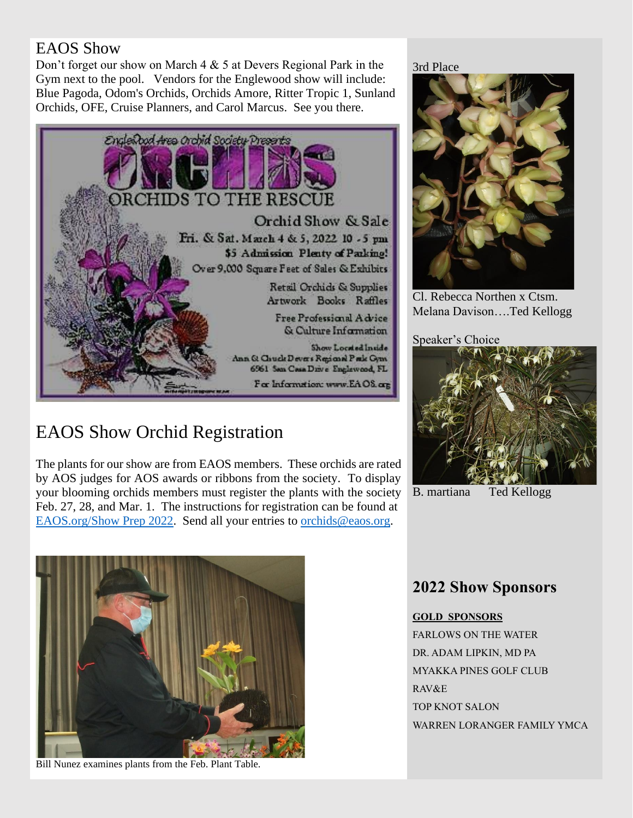#### EAOS Show

Don't forget our show on March 4 & 5 at Devers Regional Park in the Gym next to the pool. Vendors for the Englewood show will include: Blue Pagoda, Odom's Orchids, Orchids Amore, Ritter Tropic 1, Sunland Orchids, OFE, Cruise Planners, and Carol Marcus. See you there.



## EAOS Show Orchid Registration

The plants for our show are from EAOS members. These orchids are rated by AOS judges for AOS awards or ribbons from the society. To display your blooming orchids members must register the plants with the society Feb. 27, 28, and Mar. 1. The instructions for registration can be found at [EAOS.org/Show Prep 2022.](http://www.eaos.org/Show%20Prep%202022.pdf) Send all your entries to [orchids@eaos.org.](mailto:orchids@eaos.org)

3rd Place



Cl. Rebecca Northen x Ctsm. Melana Davison….Ted Kellogg

Speaker's Choice



B. martiana Ted Kellogg



Bill Nunez examines plants from the Feb. Plant Table.

#### **2022 Show Sponsors**

#### **GOLD SPONSORS**

FARLOWS ON THE WATER DR. ADAM LIPKIN, MD PA MYAKKA PINES GOLF CLUB RAV&E TOP KNOT SALON WARREN LORANGER FAMILY YMCA